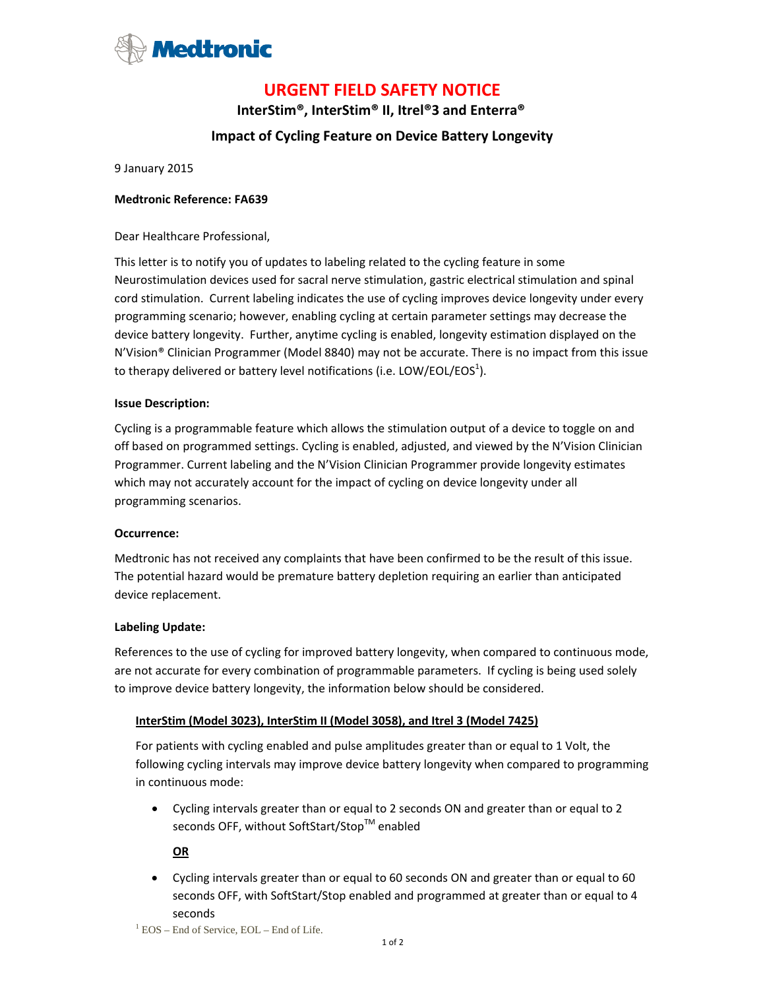

# **URGENT FIELD SAFETY NOTICE**

**InterStim®, InterStim® II, Itrel®3 and Enterra®** 

# **Impact of Cycling Feature on Device Battery Longevity**

9 January 2015

### **Medtronic Reference: FA639**

Dear Healthcare Professional,

This letter is to notify you of updates to labeling related to the cycling feature in some Neurostimulation devices used for sacral nerve stimulation, gastric electrical stimulation and spinal cord stimulation. Current labeling indicates the use of cycling improves device longevity under every programming scenario; however, enabling cycling at certain parameter settings may decrease the device battery longevity. Further, anytime cycling is enabled, longevity estimation displayed on the N'Vision® Clinician Programmer (Model 8840) may not be accurate. There is no impact from this issue to therapy delivered or battery level notifications (i.e. LOW/EOL/EOS<sup>1</sup>).

#### **Issue Description:**

Cycling is a programmable feature which allows the stimulation output of a device to toggle on and off based on programmed settings. Cycling is enabled, adjusted, and viewed by the N'Vision Clinician Programmer. Current labeling and the N'Vision Clinician Programmer provide longevity estimates which may not accurately account for the impact of cycling on device longevity under all programming scenarios.

#### **Occurrence:**

Medtronic has not received any complaints that have been confirmed to be the result of this issue. The potential hazard would be premature battery depletion requiring an earlier than anticipated device replacement.

#### **Labeling Update:**

References to the use of cycling for improved battery longevity, when compared to continuous mode, are not accurate for every combination of programmable parameters. If cycling is being used solely to improve device battery longevity, the information below should be considered.

# **InterStim (Model 3023), InterStim II (Model 3058), and Itrel 3 (Model 7425)**

For patients with cycling enabled and pulse amplitudes greater than or equal to 1 Volt, the following cycling intervals may improve device battery longevity when compared to programming in continuous mode:

 Cycling intervals greater than or equal to 2 seconds ON and greater than or equal to 2 seconds OFF, without SoftStart/Stop™ enabled

**OR**

 Cycling intervals greater than or equal to 60 seconds ON and greater than or equal to 60 seconds OFF, with SoftStart/Stop enabled and programmed at greater than or equal to 4 seconds